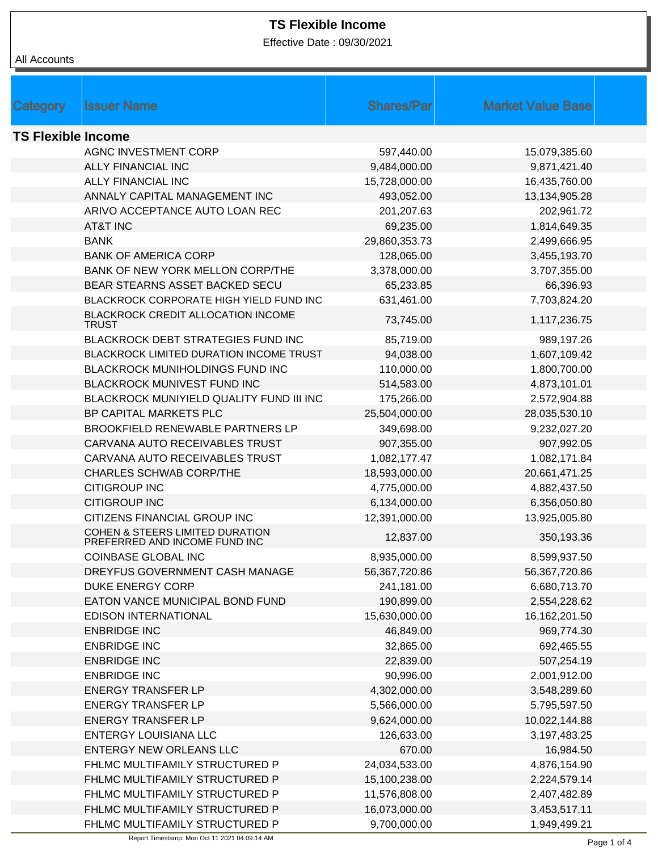Effective Date : 09/30/2021

| <b>Category</b>           | <b>Issuer Name</b>                                               | <b>Shares/Par</b>             | <b>Market Value Base</b>     |  |
|---------------------------|------------------------------------------------------------------|-------------------------------|------------------------------|--|
| <b>TS Flexible Income</b> |                                                                  |                               |                              |  |
|                           | AGNC INVESTMENT CORP                                             | 597,440.00                    | 15,079,385.60                |  |
|                           | <b>ALLY FINANCIAL INC</b>                                        | 9,484,000.00                  | 9,871,421.40                 |  |
|                           | <b>ALLY FINANCIAL INC</b>                                        | 15,728,000.00                 | 16,435,760.00                |  |
|                           | ANNALY CAPITAL MANAGEMENT INC                                    | 493,052.00                    | 13,134,905.28                |  |
|                           | ARIVO ACCEPTANCE AUTO LOAN REC                                   | 201,207.63                    | 202,961.72                   |  |
|                           | AT&T INC                                                         | 69,235.00                     | 1,814,649.35                 |  |
|                           | <b>BANK</b>                                                      | 29,860,353.73                 | 2,499,666.95                 |  |
|                           | <b>BANK OF AMERICA CORP</b>                                      | 128,065.00                    | 3,455,193.70                 |  |
|                           | BANK OF NEW YORK MELLON CORP/THE                                 | 3,378,000.00                  | 3,707,355.00                 |  |
|                           | BEAR STEARNS ASSET BACKED SECU                                   | 65,233.85                     | 66,396.93                    |  |
|                           | BLACKROCK CORPORATE HIGH YIELD FUND INC                          | 631,461.00                    | 7,703,824.20                 |  |
|                           | BLACKROCK CREDIT ALLOCATION INCOME<br><b>TRUST</b>               | 73,745.00                     | 1,117,236.75                 |  |
|                           | BLACKROCK DEBT STRATEGIES FUND INC                               | 85,719.00                     | 989,197.26                   |  |
|                           | BLACKROCK LIMITED DURATION INCOME TRUST                          | 94,038.00                     | 1,607,109.42                 |  |
|                           | BLACKROCK MUNIHOLDINGS FUND INC                                  | 110,000.00                    | 1,800,700.00                 |  |
|                           | BLACKROCK MUNIVEST FUND INC                                      | 514,583.00                    | 4,873,101.01                 |  |
|                           | BLACKROCK MUNIYIELD QUALITY FUND III INC                         | 175,266.00                    | 2,572,904.88                 |  |
|                           | BP CAPITAL MARKETS PLC                                           | 25,504,000.00                 | 28,035,530.10                |  |
|                           | <b>BROOKFIELD RENEWABLE PARTNERS LP</b>                          | 349,698.00                    | 9,232,027.20                 |  |
|                           | CARVANA AUTO RECEIVABLES TRUST                                   | 907,355.00                    | 907,992.05                   |  |
|                           | CARVANA AUTO RECEIVABLES TRUST                                   | 1,082,177.47                  | 1,082,171.84                 |  |
|                           | <b>CHARLES SCHWAB CORP/THE</b>                                   | 18,593,000.00                 | 20,661,471.25                |  |
|                           | <b>CITIGROUP INC</b>                                             | 4,775,000.00                  | 4,882,437.50                 |  |
|                           | <b>CITIGROUP INC</b>                                             | 6,134,000.00                  | 6,356,050.80                 |  |
|                           | CITIZENS FINANCIAL GROUP INC                                     | 12,391,000.00                 | 13,925,005.80                |  |
|                           | COHEN & STEERS LIMITED DURATION<br>PREFERRED AND INCOME FUND INC | 12,837.00                     | 350,193.36                   |  |
|                           | COINBASE GLOBAL INC                                              | 8,935,000.00                  | 8,599,937.50                 |  |
|                           | DREYFUS GOVERNMENT CASH MANAGE                                   | 56,367,720.86                 | 56,367,720.86                |  |
|                           | DUKE ENERGY CORP                                                 | 241,181.00                    | 6,680,713.70                 |  |
|                           | EATON VANCE MUNICIPAL BOND FUND                                  | 190,899.00                    | 2,554,228.62                 |  |
|                           | <b>EDISON INTERNATIONAL</b>                                      | 15,630,000.00                 | 16,162,201.50                |  |
|                           | <b>ENBRIDGE INC</b>                                              | 46,849.00                     | 969,774.30                   |  |
|                           | <b>ENBRIDGE INC</b>                                              | 32,865.00                     | 692,465.55                   |  |
|                           | <b>ENBRIDGE INC</b>                                              | 22,839.00                     | 507,254.19                   |  |
|                           | <b>ENBRIDGE INC</b>                                              | 90,996.00                     | 2,001,912.00                 |  |
|                           | <b>ENERGY TRANSFER LP</b>                                        | 4,302,000.00                  | 3,548,289.60                 |  |
|                           | <b>ENERGY TRANSFER LP</b>                                        | 5,566,000.00                  | 5,795,597.50                 |  |
|                           | <b>ENERGY TRANSFER LP</b>                                        | 9,624,000.00                  | 10,022,144.88                |  |
|                           | <b>ENTERGY LOUISIANA LLC</b>                                     | 126,633.00                    | 3,197,483.25                 |  |
|                           | <b>ENTERGY NEW ORLEANS LLC</b>                                   | 670.00                        | 16,984.50                    |  |
|                           | FHLMC MULTIFAMILY STRUCTURED P                                   | 24,034,533.00                 | 4,876,154.90                 |  |
|                           | FHLMC MULTIFAMILY STRUCTURED P                                   | 15,100,238.00                 | 2,224,579.14                 |  |
|                           | FHLMC MULTIFAMILY STRUCTURED P                                   | 11,576,808.00                 | 2,407,482.89                 |  |
|                           | FHLMC MULTIFAMILY STRUCTURED P<br>FHLMC MULTIFAMILY STRUCTURED P | 16,073,000.00<br>9,700,000.00 | 3,453,517.11<br>1,949,499.21 |  |
|                           |                                                                  |                               |                              |  |

Report Timestamp: Mon Oct 11 2021 04:09:14 AM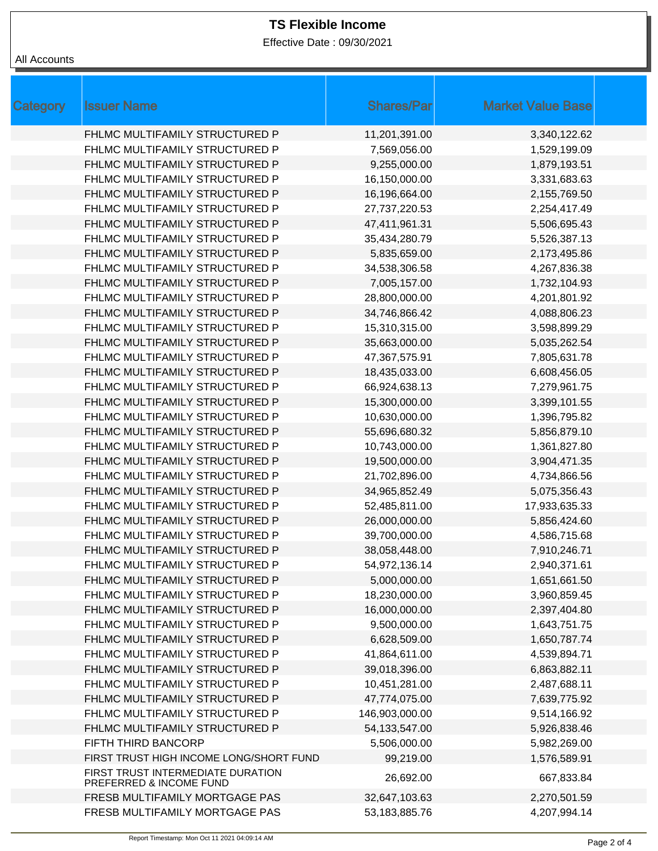Effective Date : 09/30/2021

| Category | <b>Issuer Name</b>                                           | <b>Shares/Par</b> | <b>Market Value Base</b> |
|----------|--------------------------------------------------------------|-------------------|--------------------------|
|          | FHLMC MULTIFAMILY STRUCTURED P                               | 11,201,391.00     | 3,340,122.62             |
|          | FHLMC MULTIFAMILY STRUCTURED P                               | 7,569,056.00      | 1,529,199.09             |
|          | FHLMC MULTIFAMILY STRUCTURED P                               | 9,255,000.00      | 1,879,193.51             |
|          | FHLMC MULTIFAMILY STRUCTURED P                               | 16,150,000.00     | 3,331,683.63             |
|          | FHLMC MULTIFAMILY STRUCTURED P                               | 16,196,664.00     | 2,155,769.50             |
|          | FHLMC MULTIFAMILY STRUCTURED P                               | 27,737,220.53     | 2,254,417.49             |
|          | FHLMC MULTIFAMILY STRUCTURED P                               | 47,411,961.31     | 5,506,695.43             |
|          | FHLMC MULTIFAMILY STRUCTURED P                               | 35,434,280.79     | 5,526,387.13             |
|          | FHLMC MULTIFAMILY STRUCTURED P                               | 5,835,659.00      | 2,173,495.86             |
|          | FHLMC MULTIFAMILY STRUCTURED P                               | 34,538,306.58     | 4,267,836.38             |
|          | FHLMC MULTIFAMILY STRUCTURED P                               | 7,005,157.00      | 1,732,104.93             |
|          | FHLMC MULTIFAMILY STRUCTURED P                               | 28,800,000.00     | 4,201,801.92             |
|          | FHLMC MULTIFAMILY STRUCTURED P                               | 34,746,866.42     | 4,088,806.23             |
|          | FHLMC MULTIFAMILY STRUCTURED P                               | 15,310,315.00     | 3,598,899.29             |
|          | FHLMC MULTIFAMILY STRUCTURED P                               | 35,663,000.00     | 5,035,262.54             |
|          | FHLMC MULTIFAMILY STRUCTURED P                               | 47,367,575.91     | 7,805,631.78             |
|          | FHLMC MULTIFAMILY STRUCTURED P                               | 18,435,033.00     | 6,608,456.05             |
|          | FHLMC MULTIFAMILY STRUCTURED P                               | 66,924,638.13     | 7,279,961.75             |
|          | FHLMC MULTIFAMILY STRUCTURED P                               | 15,300,000.00     | 3,399,101.55             |
|          | FHLMC MULTIFAMILY STRUCTURED P                               | 10,630,000.00     | 1,396,795.82             |
|          | FHLMC MULTIFAMILY STRUCTURED P                               | 55,696,680.32     | 5,856,879.10             |
|          | FHLMC MULTIFAMILY STRUCTURED P                               | 10,743,000.00     | 1,361,827.80             |
|          | FHLMC MULTIFAMILY STRUCTURED P                               | 19,500,000.00     | 3,904,471.35             |
|          | FHLMC MULTIFAMILY STRUCTURED P                               | 21,702,896.00     | 4,734,866.56             |
|          | FHLMC MULTIFAMILY STRUCTURED P                               | 34,965,852.49     | 5,075,356.43             |
|          | FHLMC MULTIFAMILY STRUCTURED P                               | 52,485,811.00     | 17,933,635.33            |
|          | FHLMC MULTIFAMILY STRUCTURED P                               | 26,000,000.00     | 5,856,424.60             |
|          | FHLMC MULTIFAMILY STRUCTURED P                               | 39,700,000.00     | 4,586,715.68             |
|          | FHLMC MULTIFAMILY STRUCTURED P                               | 38,058,448.00     | 7,910,246.71             |
|          | FHLMC MULTIFAMILY STRUCTURED P                               | 54,972,136.14     | 2,940,371.61             |
|          | FHLMC MULTIFAMILY STRUCTURED P                               | 5,000,000.00      | 1,651,661.50             |
|          | FHLMC MULTIFAMILY STRUCTURED P                               | 18,230,000.00     | 3,960,859.45             |
|          | FHLMC MULTIFAMILY STRUCTURED P                               | 16,000,000.00     | 2,397,404.80             |
|          | FHLMC MULTIFAMILY STRUCTURED P                               | 9,500,000.00      | 1,643,751.75             |
|          | FHLMC MULTIFAMILY STRUCTURED P                               | 6,628,509.00      | 1,650,787.74             |
|          | FHLMC MULTIFAMILY STRUCTURED P                               | 41,864,611.00     | 4,539,894.71             |
|          | FHLMC MULTIFAMILY STRUCTURED P                               | 39,018,396.00     | 6,863,882.11             |
|          | FHLMC MULTIFAMILY STRUCTURED P                               | 10,451,281.00     | 2,487,688.11             |
|          | FHLMC MULTIFAMILY STRUCTURED P                               | 47,774,075.00     | 7,639,775.92             |
|          | FHLMC MULTIFAMILY STRUCTURED P                               | 146,903,000.00    | 9,514,166.92             |
|          | FHLMC MULTIFAMILY STRUCTURED P                               | 54,133,547.00     | 5,926,838.46             |
|          | FIFTH THIRD BANCORP                                          | 5,506,000.00      | 5,982,269.00             |
|          | FIRST TRUST HIGH INCOME LONG/SHORT FUND                      | 99,219.00         | 1,576,589.91             |
|          | FIRST TRUST INTERMEDIATE DURATION<br>PREFERRED & INCOME FUND | 26,692.00         | 667,833.84               |
|          | FRESB MULTIFAMILY MORTGAGE PAS                               | 32,647,103.63     | 2,270,501.59             |
|          | FRESB MULTIFAMILY MORTGAGE PAS                               | 53,183,885.76     | 4,207,994.14             |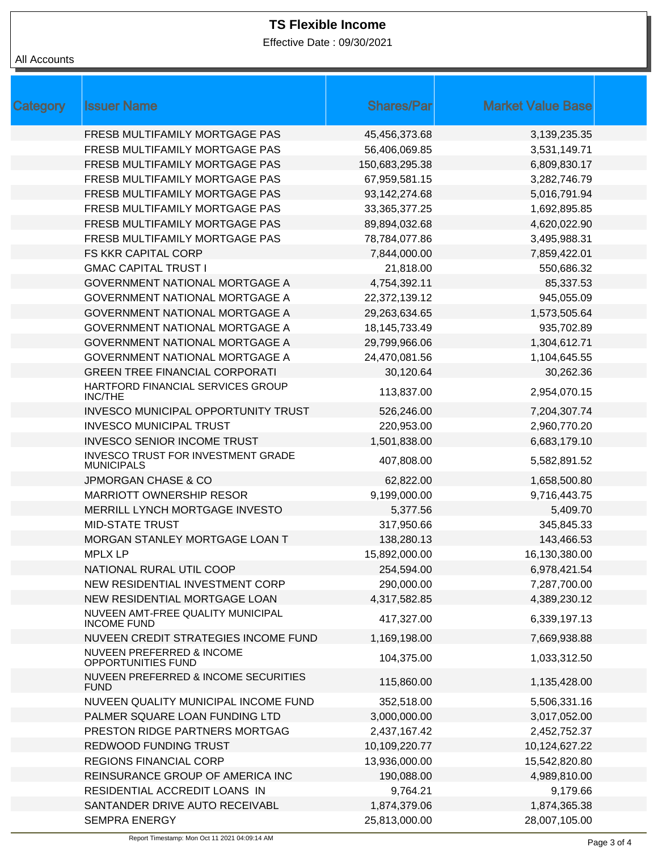Effective Date : 09/30/2021

# All Accounts

| Category | <b>Issuer Name</b>                                      | <b>Shares/Par</b> | <b>Market Value Base</b> |  |
|----------|---------------------------------------------------------|-------------------|--------------------------|--|
|          | FRESB MULTIFAMILY MORTGAGE PAS                          | 45,456,373.68     | 3,139,235.35             |  |
|          | FRESB MULTIFAMILY MORTGAGE PAS                          | 56,406,069.85     | 3,531,149.71             |  |
|          | FRESB MULTIFAMILY MORTGAGE PAS                          | 150,683,295.38    | 6,809,830.17             |  |
|          | FRESB MULTIFAMILY MORTGAGE PAS                          | 67,959,581.15     | 3,282,746.79             |  |
|          | FRESB MULTIFAMILY MORTGAGE PAS                          | 93,142,274.68     | 5,016,791.94             |  |
|          | FRESB MULTIFAMILY MORTGAGE PAS                          | 33,365,377.25     | 1,692,895.85             |  |
|          | FRESB MULTIFAMILY MORTGAGE PAS                          | 89,894,032.68     | 4,620,022.90             |  |
|          | FRESB MULTIFAMILY MORTGAGE PAS                          | 78,784,077.86     | 3,495,988.31             |  |
|          | <b>FS KKR CAPITAL CORP</b>                              | 7,844,000.00      | 7,859,422.01             |  |
|          | <b>GMAC CAPITAL TRUST I</b>                             | 21,818.00         | 550,686.32               |  |
|          | <b>GOVERNMENT NATIONAL MORTGAGE A</b>                   | 4,754,392.11      | 85,337.53                |  |
|          | <b>GOVERNMENT NATIONAL MORTGAGE A</b>                   | 22,372,139.12     | 945,055.09               |  |
|          | GOVERNMENT NATIONAL MORTGAGE A                          | 29,263,634.65     | 1,573,505.64             |  |
|          | <b>GOVERNMENT NATIONAL MORTGAGE A</b>                   | 18, 145, 733. 49  | 935,702.89               |  |
|          | <b>GOVERNMENT NATIONAL MORTGAGE A</b>                   | 29,799,966.06     | 1,304,612.71             |  |
|          | <b>GOVERNMENT NATIONAL MORTGAGE A</b>                   | 24,470,081.56     | 1,104,645.55             |  |
|          | <b>GREEN TREE FINANCIAL CORPORATI</b>                   | 30,120.64         | 30,262.36                |  |
|          | HARTFORD FINANCIAL SERVICES GROUP<br><b>INC/THE</b>     | 113,837.00        | 2,954,070.15             |  |
|          | INVESCO MUNICIPAL OPPORTUNITY TRUST                     | 526,246.00        | 7,204,307.74             |  |
|          | <b>INVESCO MUNICIPAL TRUST</b>                          | 220,953.00        | 2,960,770.20             |  |
|          | <b>INVESCO SENIOR INCOME TRUST</b>                      | 1,501,838.00      | 6,683,179.10             |  |
|          | INVESCO TRUST FOR INVESTMENT GRADE<br><b>MUNICIPALS</b> | 407,808.00        | 5,582,891.52             |  |
|          | <b>JPMORGAN CHASE &amp; CO</b>                          | 62,822.00         | 1,658,500.80             |  |
|          | <b>MARRIOTT OWNERSHIP RESOR</b>                         | 9,199,000.00      | 9,716,443.75             |  |
|          | MERRILL LYNCH MORTGAGE INVESTO                          | 5,377.56          | 5,409.70                 |  |
|          | <b>MID-STATE TRUST</b>                                  | 317,950.66        | 345,845.33               |  |
|          | MORGAN STANLEY MORTGAGE LOAN T                          | 138,280.13        | 143,466.53               |  |
|          | <b>MPLX LP</b>                                          | 15,892,000.00     | 16,130,380.00            |  |
|          | NATIONAL RURAL UTIL COOP                                | 254,594.00        | 6,978,421.54             |  |
|          | NEW RESIDENTIAL INVESTMENT CORP                         | 290,000.00        | 7,287,700.00             |  |
|          | NEW RESIDENTIAL MORTGAGE LOAN                           | 4,317,582.85      | 4,389,230.12             |  |
|          | NUVEEN AMT-FREE QUALITY MUNICIPAL<br><b>INCOME FUND</b> | 417,327.00        | 6,339,197.13             |  |
|          | NUVEEN CREDIT STRATEGIES INCOME FUND                    | 1,169,198.00      | 7,669,938.88             |  |
|          | NUVEEN PREFERRED & INCOME<br>OPPORTUNITIES FUND         | 104,375.00        | 1,033,312.50             |  |
|          | NUVEEN PREFERRED & INCOME SECURITIES<br><b>FUND</b>     | 115,860.00        | 1,135,428.00             |  |
|          | NUVEEN QUALITY MUNICIPAL INCOME FUND                    | 352,518.00        | 5,506,331.16             |  |
|          | PALMER SQUARE LOAN FUNDING LTD                          | 3,000,000.00      | 3,017,052.00             |  |
|          | PRESTON RIDGE PARTNERS MORTGAG                          | 2,437,167.42      | 2,452,752.37             |  |
|          | REDWOOD FUNDING TRUST                                   | 10,109,220.77     | 10,124,627.22            |  |
|          | <b>REGIONS FINANCIAL CORP</b>                           | 13,936,000.00     | 15,542,820.80            |  |
|          | REINSURANCE GROUP OF AMERICA INC                        | 190,088.00        | 4,989,810.00             |  |
|          | RESIDENTIAL ACCREDIT LOANS IN                           | 9,764.21          | 9,179.66                 |  |
|          | SANTANDER DRIVE AUTO RECEIVABL                          | 1,874,379.06      | 1,874,365.38             |  |
|          | <b>SEMPRA ENERGY</b>                                    | 25,813,000.00     | 28,007,105.00            |  |